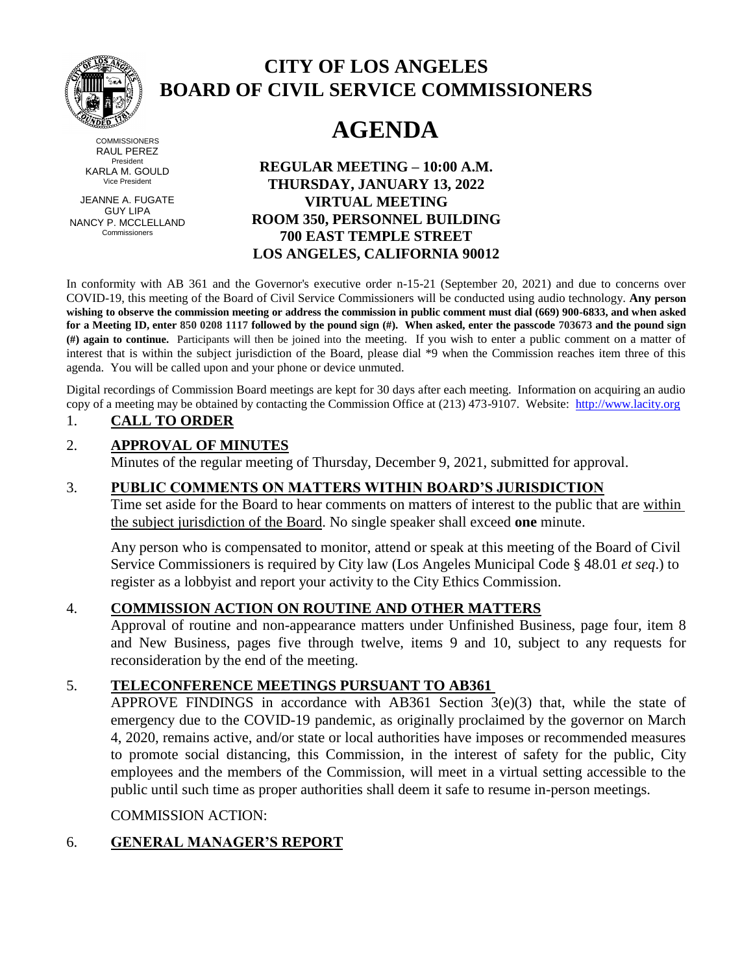

#### **COMMISSIONERS** RAUL PEREZ President KARLA M. GOULD Vice President

JEANNE A. FUGATE GUY LIPA NANCY P. MCCLELLAND Commissioners

# **CITY OF LOS ANGELES BOARD OF CIVIL SERVICE COMMISSIONERS**

# **AGENDA**

**REGULAR MEETING – 10:00 A.M. THURSDAY, JANUARY 13, 2022 VIRTUAL MEETING ROOM 350, PERSONNEL BUILDING 700 EAST TEMPLE STREET LOS ANGELES, CALIFORNIA 90012**

In conformity with AB 361 and the Governor's executive order n-15-21 (September 20, 2021) and due to concerns over COVID-19, this meeting of the Board of Civil Service Commissioners will be conducted using audio technology. **Any person wishing to observe the commission meeting or address the commission in public comment must dial (669) 900-6833, and when asked for a Meeting ID, enter 850 0208 1117 followed by the pound sign (#). When asked, enter the passcode 703673 and the pound sign (#) again to continue.** Participants will then be joined into the meeting. If you wish to enter a public comment on a matter of interest that is within the subject jurisdiction of the Board, please dial \*9 when the Commission reaches item three of this agenda. You will be called upon and your phone or device unmuted.

Digital recordings of Commission Board meetings are kept for 30 days after each meeting. Information on acquiring an audio copy of a meeting may be obtained by contacting the Commission Office at (213) 473-9107. Website: [http://www.lacity.org](http://www.lacity.org/)

#### 1. **CALL TO ORDER**

## 2. **APPROVAL OF MINUTES**

Minutes of the regular meeting of Thursday, December 9, 2021, submitted for approval.

#### 3. **PUBLIC COMMENTS ON MATTERS WITHIN BOARD'S JURISDICTION**

Time set aside for the Board to hear comments on matters of interest to the public that are within the subject jurisdiction of the Board. No single speaker shall exceed **one** minute.

Any person who is compensated to monitor, attend or speak at this meeting of the Board of Civil Service Commissioners is required by City law (Los Angeles Municipal Code § 48.01 *et seq*.) to register as a lobbyist and report your activity to the City Ethics Commission.

#### 4. **COMMISSION ACTION ON ROUTINE AND OTHER MATTERS**

Approval of routine and non-appearance matters under Unfinished Business, page four, item 8 and New Business, pages five through twelve, items 9 and 10, subject to any requests for reconsideration by the end of the meeting.

#### 5. **TELECONFERENCE MEETINGS PURSUANT TO AB361**

APPROVE FINDINGS in accordance with AB361 Section 3(e)(3) that, while the state of emergency due to the COVID-19 pandemic, as originally proclaimed by the governor on March 4, 2020, remains active, and/or state or local authorities have imposes or recommended measures to promote social distancing, this Commission, in the interest of safety for the public, City employees and the members of the Commission, will meet in a virtual setting accessible to the public until such time as proper authorities shall deem it safe to resume in-person meetings.

#### COMMISSION ACTION:

# 6. **GENERAL MANAGER'S REPORT**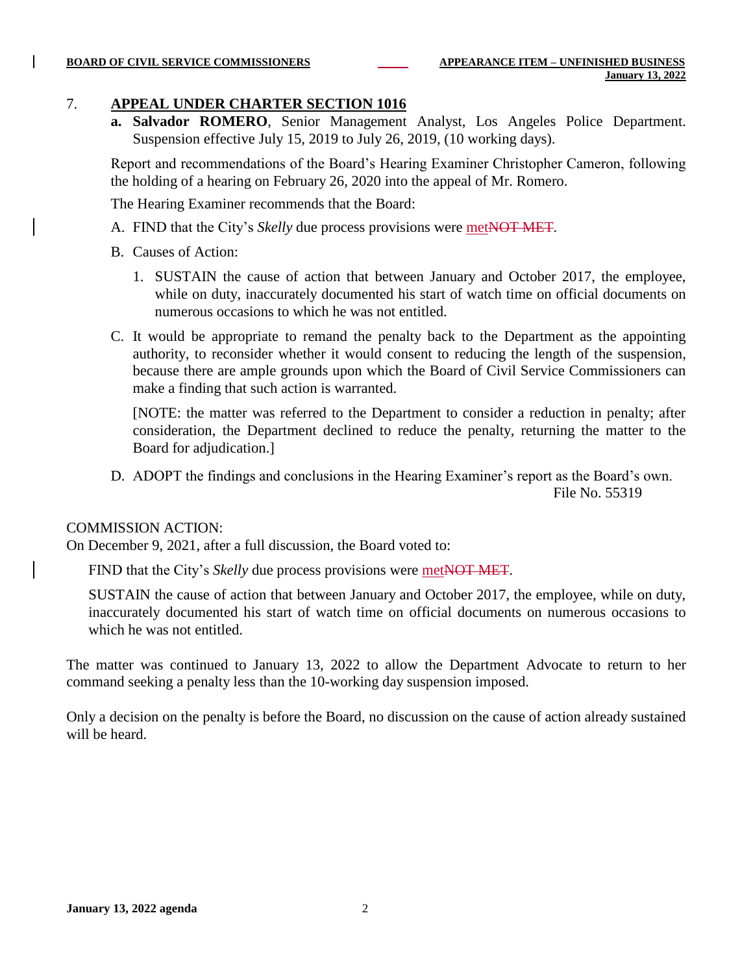#### 7. **APPEAL UNDER CHARTER SECTION 1016**

**a. Salvador ROMERO**, Senior Management Analyst, Los Angeles Police Department. Suspension effective July 15, 2019 to July 26, 2019, (10 working days).

Report and recommendations of the Board's Hearing Examiner Christopher Cameron, following the holding of a hearing on February 26, 2020 into the appeal of Mr. Romero.

The Hearing Examiner recommends that the Board:

- A. FIND that the City's *Skelly* due process provisions were metNOT MET.
- B. Causes of Action:
	- 1. SUSTAIN the cause of action that between January and October 2017, the employee, while on duty, inaccurately documented his start of watch time on official documents on numerous occasions to which he was not entitled.
- C. It would be appropriate to remand the penalty back to the Department as the appointing authority, to reconsider whether it would consent to reducing the length of the suspension, because there are ample grounds upon which the Board of Civil Service Commissioners can make a finding that such action is warranted.

[NOTE: the matter was referred to the Department to consider a reduction in penalty; after consideration, the Department declined to reduce the penalty, returning the matter to the Board for adjudication.]

D. ADOPT the findings and conclusions in the Hearing Examiner's report as the Board's own.

File No. 55319

#### COMMISSION ACTION:

On December 9, 2021, after a full discussion, the Board voted to:

FIND that the City's *Skelly* due process provisions were metNOT MET.

SUSTAIN the cause of action that between January and October 2017, the employee, while on duty, inaccurately documented his start of watch time on official documents on numerous occasions to which he was not entitled.

The matter was continued to January 13, 2022 to allow the Department Advocate to return to her command seeking a penalty less than the 10-working day suspension imposed.

Only a decision on the penalty is before the Board, no discussion on the cause of action already sustained will be heard.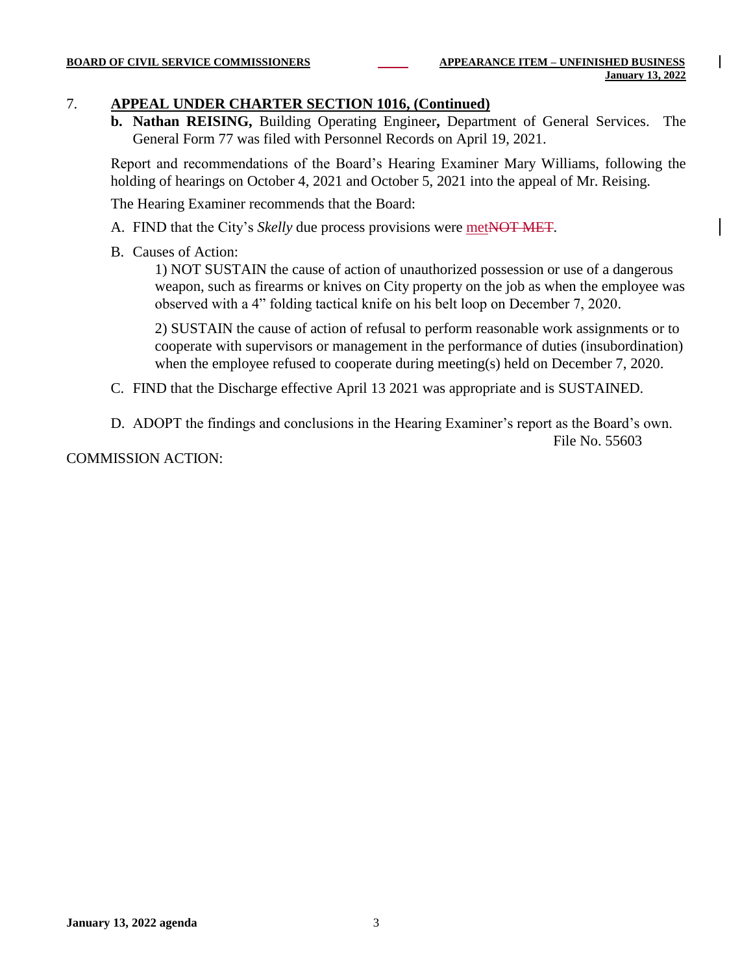#### 7. **APPEAL UNDER CHARTER SECTION 1016, (Continued)**

**b. Nathan REISING,** Building Operating Engineer**,** Department of General Services. The General Form 77 was filed with Personnel Records on April 19, 2021.

Report and recommendations of the Board's Hearing Examiner Mary Williams, following the holding of hearings on October 4, 2021 and October 5, 2021 into the appeal of Mr. Reising.

The Hearing Examiner recommends that the Board:

- A. FIND that the City's *Skelly* due process provisions were metNOT MET.
- B. Causes of Action:

1) NOT SUSTAIN the cause of action of unauthorized possession or use of a dangerous weapon, such as firearms or knives on City property on the job as when the employee was observed with a 4" folding tactical knife on his belt loop on December 7, 2020.

2) SUSTAIN the cause of action of refusal to perform reasonable work assignments or to cooperate with supervisors or management in the performance of duties (insubordination) when the employee refused to cooperate during meeting(s) held on December 7, 2020.

- C. FIND that the Discharge effective April 13 2021 was appropriate and is SUSTAINED.
- D. ADOPT the findings and conclusions in the Hearing Examiner's report as the Board's own. File No. 55603

COMMISSION ACTION: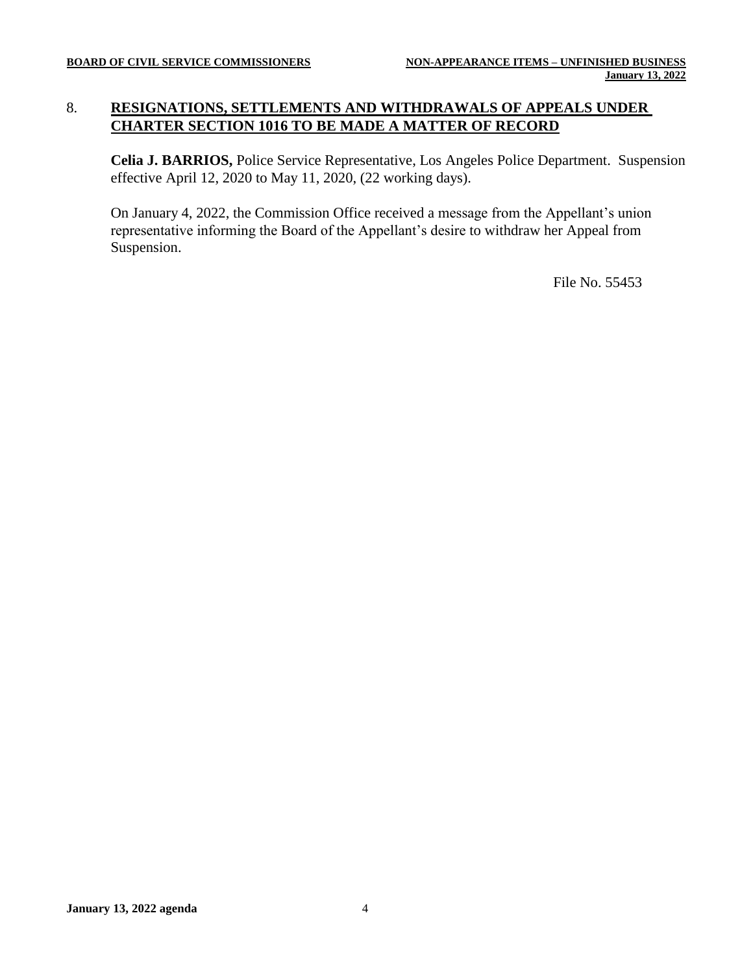#### 8. **RESIGNATIONS, SETTLEMENTS AND WITHDRAWALS OF APPEALS UNDER CHARTER SECTION 1016 TO BE MADE A MATTER OF RECORD**

**Celia J. BARRIOS,** Police Service Representative, Los Angeles Police Department. Suspension effective April 12, 2020 to May 11, 2020, (22 working days).

On January 4, 2022, the Commission Office received a message from the Appellant's union representative informing the Board of the Appellant's desire to withdraw her Appeal from Suspension.

File No. 55453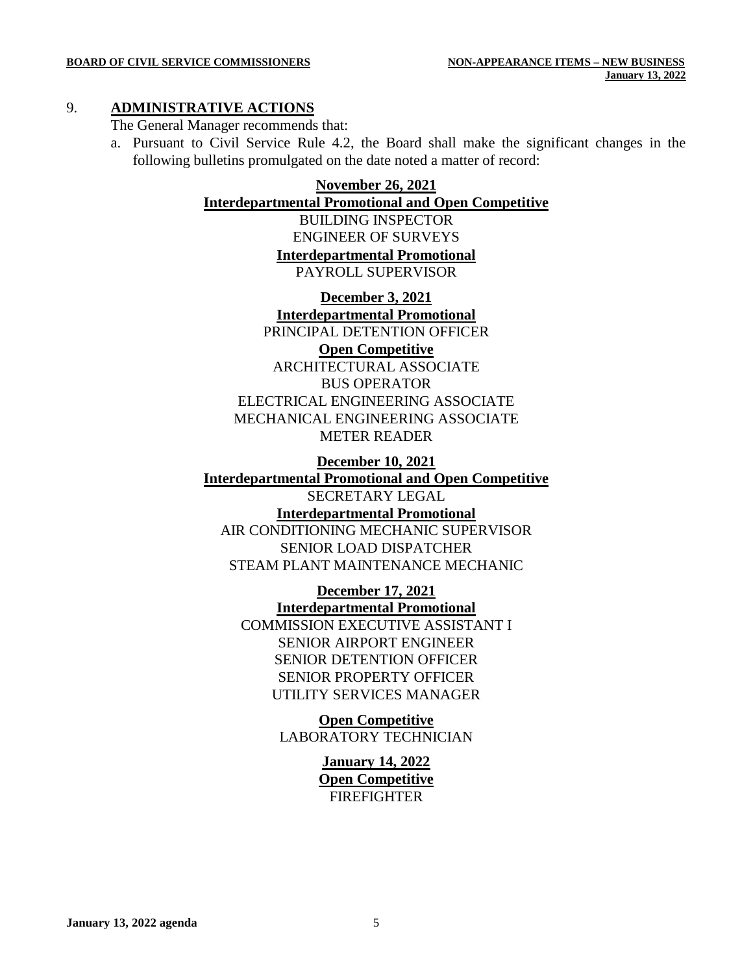#### 9. **ADMINISTRATIVE ACTIONS**

The General Manager recommends that:

a. Pursuant to Civil Service Rule 4.2, the Board shall make the significant changes in the following bulletins promulgated on the date noted a matter of record:

# **November 26, 2021**

**Interdepartmental Promotional and Open Competitive**

BUILDING INSPECTOR ENGINEER OF SURVEYS **Interdepartmental Promotional** PAYROLL SUPERVISOR

**December 3, 2021 Interdepartmental Promotional** PRINCIPAL DETENTION OFFICER **Open Competitive** ARCHITECTURAL ASSOCIATE BUS OPERATOR ELECTRICAL ENGINEERING ASSOCIATE MECHANICAL ENGINEERING ASSOCIATE METER READER

**December 10, 2021 Interdepartmental Promotional and Open Competitive** SECRETARY LEGAL **Interdepartmental Promotional** AIR CONDITIONING MECHANIC SUPERVISOR SENIOR LOAD DISPATCHER STEAM PLANT MAINTENANCE MECHANIC

> **December 17, 2021 Interdepartmental Promotional** COMMISSION EXECUTIVE ASSISTANT I SENIOR AIRPORT ENGINEER SENIOR DETENTION OFFICER SENIOR PROPERTY OFFICER UTILITY SERVICES MANAGER

> > **Open Competitive** LABORATORY TECHNICIAN

> > > **January 14, 2022 Open Competitive FIREFIGHTER**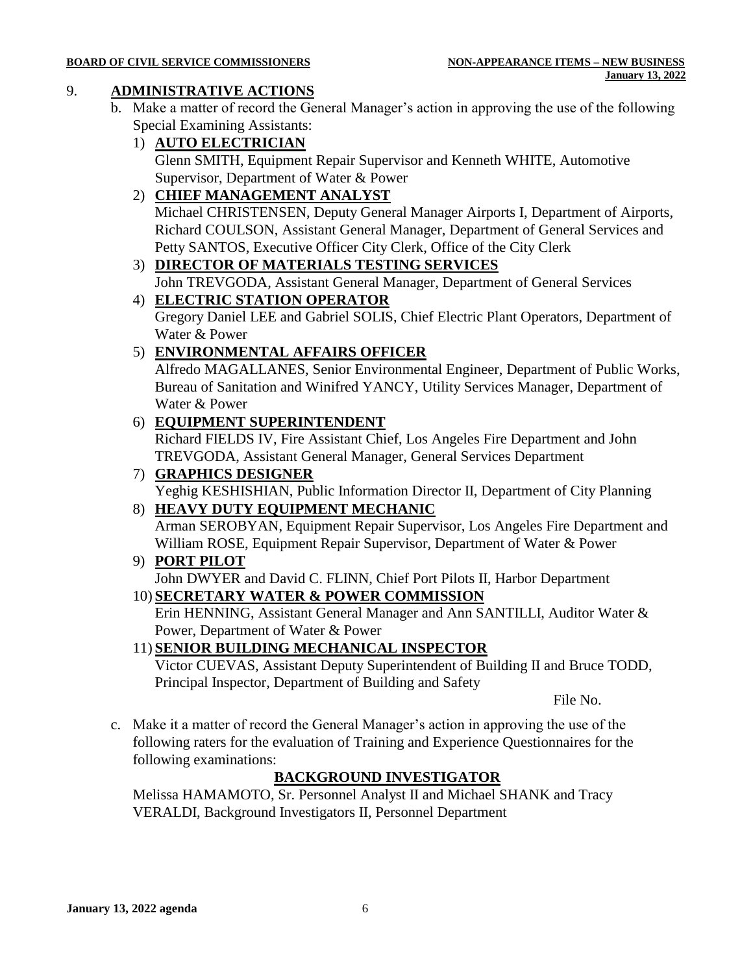#### **BOARD OF CIVIL SERVICE COMMISSIONERS NON-APPEARANCE ITEMS – NEW BUSINESS**

#### 9. **ADMINISTRATIVE ACTIONS**

- b. Make a matter of record the General Manager's action in approving the use of the following Special Examining Assistants:
	- 1) **AUTO ELECTRICIAN**

Glenn SMITH, Equipment Repair Supervisor and Kenneth WHITE, Automotive Supervisor, Department of Water & Power

2) **CHIEF MANAGEMENT ANALYST** Michael CHRISTENSEN, Deputy General Manager Airports I, Department of Airports,

Richard COULSON, Assistant General Manager, Department of General Services and Petty SANTOS, Executive Officer City Clerk, Office of the City Clerk

- 3) **DIRECTOR OF MATERIALS TESTING SERVICES**
- John TREVGODA, Assistant General Manager, Department of General Services 4) **ELECTRIC STATION OPERATOR** Gregory Daniel LEE and Gabriel SOLIS, Chief Electric Plant Operators, Department of

Water & Power

## 5) **ENVIRONMENTAL AFFAIRS OFFICER**

Alfredo MAGALLANES, Senior Environmental Engineer, Department of Public Works, Bureau of Sanitation and Winifred YANCY, Utility Services Manager, Department of Water & Power

#### 6) **EQUIPMENT SUPERINTENDENT**

Richard FIELDS IV, Fire Assistant Chief, Los Angeles Fire Department and John TREVGODA, Assistant General Manager, General Services Department

# 7) **GRAPHICS DESIGNER** Yeghig KESHISHIAN, Public Information Director II, Department of City Planning

8) **HEAVY DUTY EQUIPMENT MECHANIC** Arman SEROBYAN, Equipment Repair Supervisor, Los Angeles Fire Department and William ROSE, Equipment Repair Supervisor, Department of Water & Power

- 9) **PORT PILOT** John DWYER and David C. FLINN, Chief Port Pilots II, Harbor Department
- 10) **SECRETARY WATER & POWER COMMISSION**

Erin HENNING, Assistant General Manager and Ann SANTILLI, Auditor Water & Power, Department of Water & Power

## 11) **SENIOR BUILDING MECHANICAL INSPECTOR**

Victor CUEVAS, Assistant Deputy Superintendent of Building II and Bruce TODD, Principal Inspector, Department of Building and Safety

File No.

c. Make it a matter of record the General Manager's action in approving the use of the following raters for the evaluation of Training and Experience Questionnaires for the following examinations:

## **BACKGROUND INVESTIGATOR**

Melissa HAMAMOTO, Sr. Personnel Analyst II and Michael SHANK and Tracy VERALDI, Background Investigators II, Personnel Department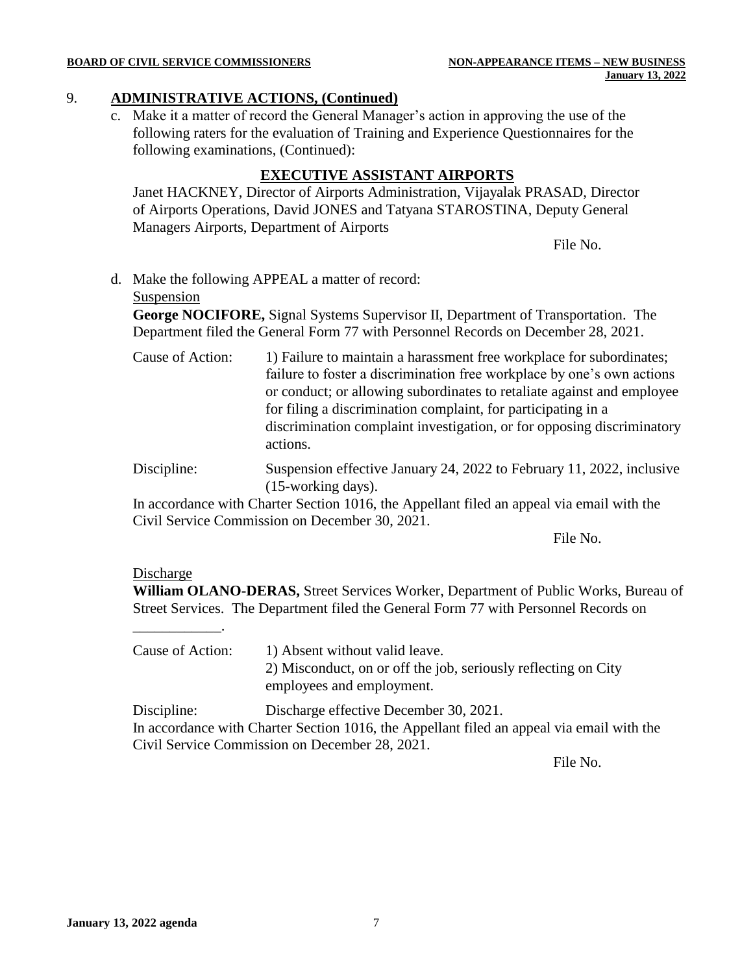#### **BOARD OF CIVIL SERVICE COMMISSIONERS NON-APPEARANCE ITEMS – NEW BUSINESS**

#### 9. **ADMINISTRATIVE ACTIONS, (Continued)**

c. Make it a matter of record the General Manager's action in approving the use of the following raters for the evaluation of Training and Experience Questionnaires for the following examinations, (Continued):

#### **EXECUTIVE ASSISTANT AIRPORTS**

Janet HACKNEY, Director of Airports Administration, Vijayalak PRASAD, Director of Airports Operations, David JONES and Tatyana STAROSTINA, Deputy General Managers Airports, Department of Airports

File No.

d. Make the following APPEAL a matter of record:

#### Suspension

**George NOCIFORE,** Signal Systems Supervisor II, Department of Transportation. The Department filed the General Form 77 with Personnel Records on December 28, 2021.

- Cause of Action: 1) Failure to maintain a harassment free workplace for subordinates; failure to foster a discrimination free workplace by one's own actions or conduct; or allowing subordinates to retaliate against and employee for filing a discrimination complaint, for participating in a discrimination complaint investigation, or for opposing discriminatory actions.
- Discipline: Suspension effective January 24, 2022 to February 11, 2022, inclusive (15-working days).

In accordance with Charter Section 1016, the Appellant filed an appeal via email with the Civil Service Commission on December 30, 2021.

File No.

#### Discharge

\_\_\_\_\_\_\_\_\_\_\_\_.

**William OLANO-DERAS,** Street Services Worker, Department of Public Works, Bureau of Street Services. The Department filed the General Form 77 with Personnel Records on

Cause of Action: 1) Absent without valid leave. 2) Misconduct, on or off the job, seriously reflecting on City employees and employment.

Discipline: Discharge effective December 30, 2021. In accordance with Charter Section 1016, the Appellant filed an appeal via email with the Civil Service Commission on December 28, 2021.

File No.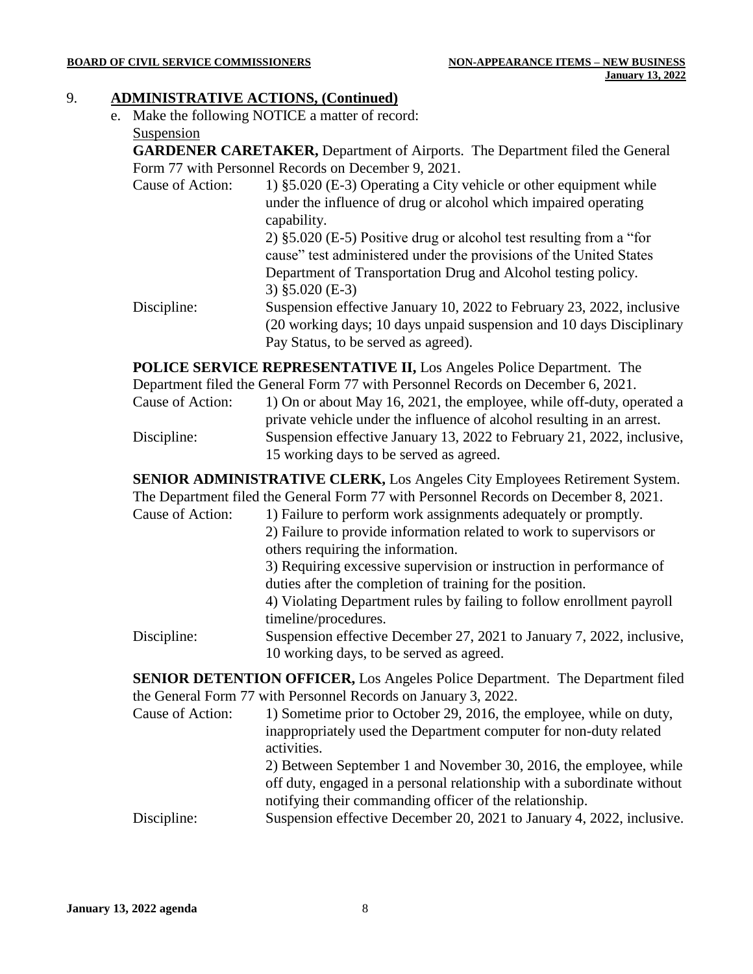#### **BOARD OF CIVIL SERVICE COMMISSIONERS NON-APPEARANCE ITEMS – NEW BUSINESS**

#### 9. **ADMINISTRATIVE ACTIONS, (Continued)**

e. Make the following NOTICE a matter of record: Suspension

**GARDENER CARETAKER,** Department of Airports. The Department filed the General Form 77 with Personnel Records on December 9, 2021.

- Cause of Action: 1) §5.020 (E-3) Operating a City vehicle or other equipment while under the influence of drug or alcohol which impaired operating capability. 2) §5.020 (E-5) Positive drug or alcohol test resulting from a "for cause" test administered under the provisions of the United States Department of Transportation Drug and Alcohol testing policy.
- 3) §5.020 (E-3) Discipline: Suspension effective January 10, 2022 to February 23, 2022, inclusive (20 working days; 10 days unpaid suspension and 10 days Disciplinary Pay Status, to be served as agreed).

**POLICE SERVICE REPRESENTATIVE II,** Los Angeles Police Department. The Department filed the General Form 77 with Personnel Records on December 6, 2021.

Cause of Action: 1) On or about May 16, 2021, the employee, while off-duty, operated a private vehicle under the influence of alcohol resulting in an arrest. Discipline: Suspension effective January 13, 2022 to February 21, 2022, inclusive, 15 working days to be served as agreed.

**SENIOR ADMINISTRATIVE CLERK,** Los Angeles City Employees Retirement System. The Department filed the General Form 77 with Personnel Records on December 8, 2021.

Cause of Action: 1) Failure to perform work assignments adequately or promptly. 2) Failure to provide information related to work to supervisors or others requiring the information. 3) Requiring excessive supervision or instruction in performance of duties after the completion of training for the position. 4) Violating Department rules by failing to follow enrollment payroll timeline/procedures. Discipline: Suspension effective December 27, 2021 to January 7, 2022, inclusive, 10 working days, to be served as agreed.

**SENIOR DETENTION OFFICER,** Los Angeles Police Department. The Department filed the General Form 77 with Personnel Records on January 3, 2022.

- Cause of Action: 1) Sometime prior to October 29, 2016, the employee, while on duty, inappropriately used the Department computer for non-duty related activities. 2) Between September 1 and November 30, 2016, the employee, while off duty, engaged in a personal relationship with a subordinate without notifying their commanding officer of the relationship.
- Discipline: Suspension effective December 20, 2021 to January 4, 2022, inclusive.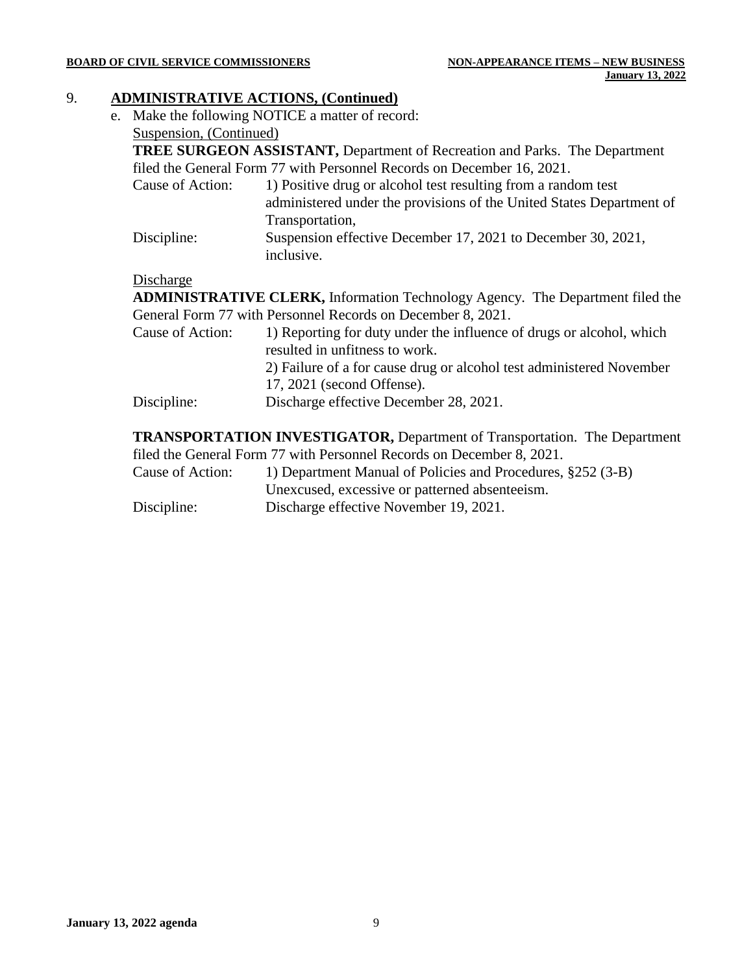#### 9. **ADMINISTRATIVE ACTIONS, (Continued)**

e. Make the following NOTICE a matter of record: Suspension, (Continued)

**TREE SURGEON ASSISTANT,** Department of Recreation and Parks. The Department filed the General Form 77 with Personnel Records on December 16, 2021.

- Cause of Action: 1) Positive drug or alcohol test resulting from a random test administered under the provisions of the United States Department of Transportation, Discipline: Suspension effective December 17, 2021 to December 30, 2021,
- inclusive.

#### Discharge

**ADMINISTRATIVE CLERK,** Information Technology Agency. The Department filed the General Form 77 with Personnel Records on December 8, 2021.

- Cause of Action: 1) Reporting for duty under the influence of drugs or alcohol, which resulted in unfitness to work. 2) Failure of a for cause drug or alcohol test administered November 17, 2021 (second Offense).
- Discipline: Discharge effective December 28, 2021.

**TRANSPORTATION INVESTIGATOR,** Department of Transportation. The Department filed the General Form 77 with Personnel Records on December 8, 2021.

- Cause of Action: 1) Department Manual of Policies and Procedures, §252 (3-B) Unexcused, excessive or patterned absenteeism.
- Discipline: Discharge effective November 19, 2021.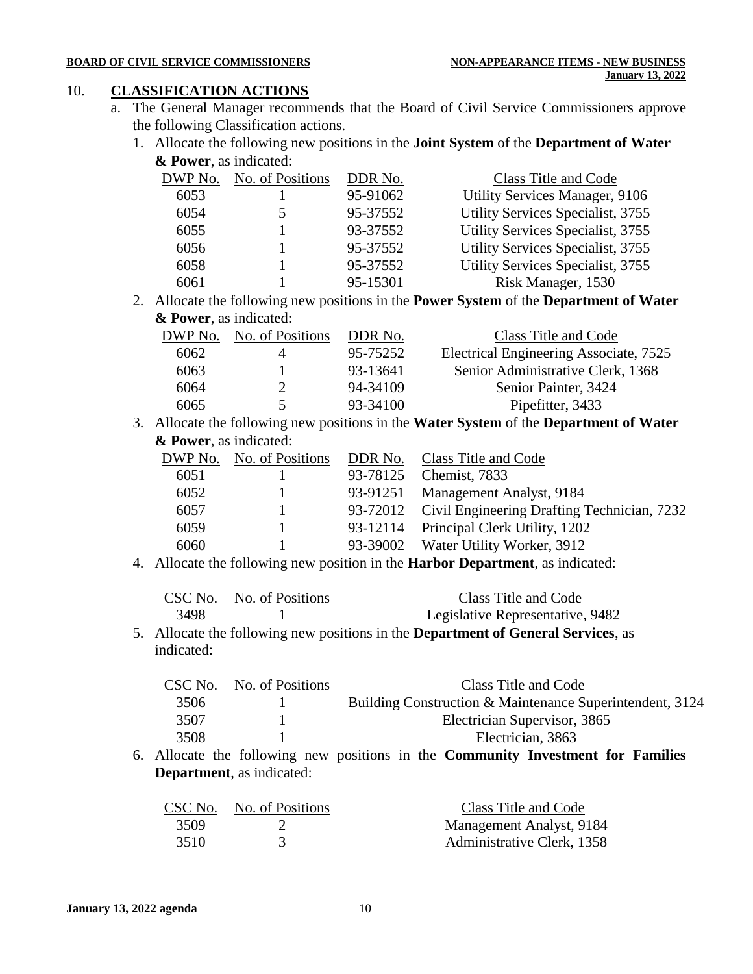#### 10. **CLASSIFICATION ACTIONS**

- a. The General Manager recommends that the Board of Civil Service Commissioners approve the following Classification actions.
	- 1. Allocate the following new positions in the **Joint System** of the **Department of Water & Power**, as indicated:

| DWP No. | No. of Positions | DDR No.  | Class Title and Code                  |
|---------|------------------|----------|---------------------------------------|
| 6053    |                  | 95-91062 | <b>Utility Services Manager, 9106</b> |
| 6054    |                  | 95-37552 | Utility Services Specialist, 3755     |
| 6055    |                  | 93-37552 | Utility Services Specialist, 3755     |
| 6056    |                  | 95-37552 | Utility Services Specialist, 3755     |
| 6058    |                  | 95-37552 | Utility Services Specialist, 3755     |
| 6061    |                  | 95-15301 | Risk Manager, 1530                    |

2. Allocate the following new positions in the **Power System** of the **Department of Water & Power**, as indicated:

| No. of Positions | DDR No.  | Class Title and Code                   |
|------------------|----------|----------------------------------------|
|                  | 95-75252 | Electrical Engineering Associate, 7525 |
|                  | 93-13641 | Senior Administrative Clerk, 1368      |
|                  | 94-34109 | Senior Painter, 3424                   |
| 5                | 93-34100 | Pipefitter, 3433                       |
|                  |          |                                        |

3. Allocate the following new positions in the **Water System** of the **Department of Water & Power**, as indicated:

| DWP No. | No. of Positions |          | DDR No. Class Title and Code                         |
|---------|------------------|----------|------------------------------------------------------|
| 6051    |                  | 93-78125 | Chemist, 7833                                        |
| 6052    |                  | 93-91251 | Management Analyst, 9184                             |
| 6057    |                  |          | 93-72012 Civil Engineering Drafting Technician, 7232 |
| 6059    |                  |          | 93-12114 Principal Clerk Utility, 1202               |
| 6060    |                  |          | 93-39002 Water Utility Worker, 3912                  |
|         |                  |          |                                                      |

4. Allocate the following new position in the **Harbor Department**, as indicated:

|      | CSC No. No. of Positions | Class Title and Code             |
|------|--------------------------|----------------------------------|
| 3498 |                          | Legislative Representative, 9482 |

5. Allocate the following new positions in the **Department of General Services**, as indicated:

| CSC No. | No. of Positions | Class Title and Code                                     |
|---------|------------------|----------------------------------------------------------|
| 3506    |                  | Building Construction & Maintenance Superintendent, 3124 |
| 3507    |                  | Electrician Supervisor, 3865                             |
| 3508    |                  | Electrician, 3863                                        |
|         |                  |                                                          |

6. Allocate the following new positions in the **Community Investment for Families Department**, as indicated:

| CSC No. | No. of Positions | Class Title and Code       |
|---------|------------------|----------------------------|
| 3509    |                  | Management Analyst, 9184   |
| 3510    |                  | Administrative Clerk, 1358 |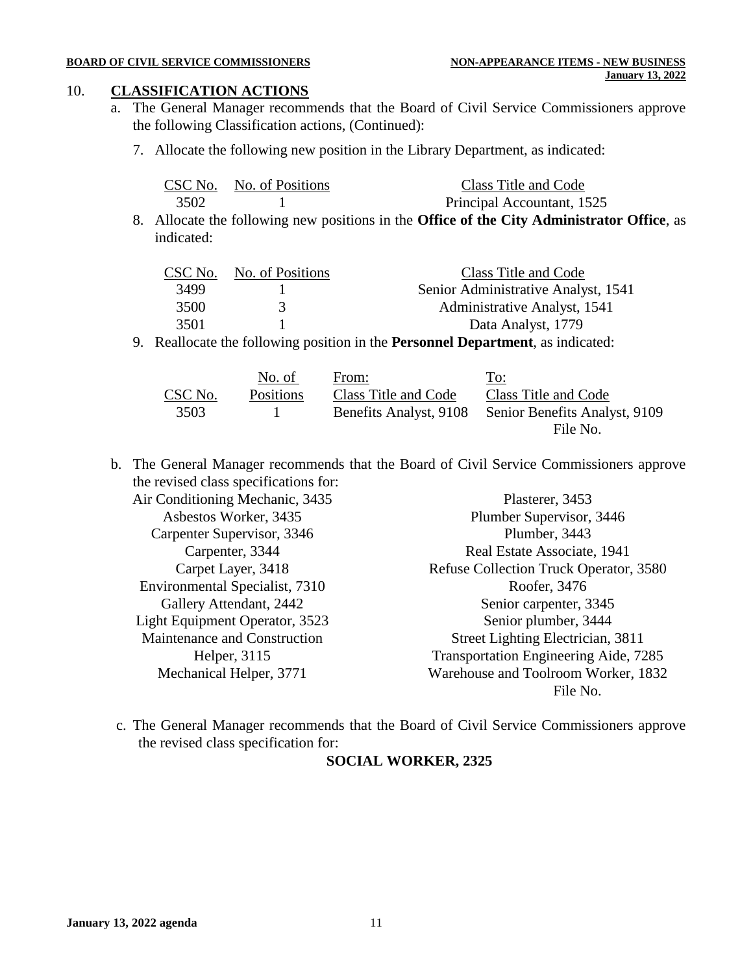#### 10. **CLASSIFICATION ACTIONS**

- a. The General Manager recommends that the Board of Civil Service Commissioners approve the following Classification actions, (Continued):
	- 7. Allocate the following new position in the Library Department, as indicated:

|      | CSC No. No. of Positions | Class Title and Code       |
|------|--------------------------|----------------------------|
| 3502 |                          | Principal Accountant, 1525 |

8. Allocate the following new positions in the **Office of the City Administrator Office**, as indicated:

| CSC No. | No. of Positions | Class Title and Code                |
|---------|------------------|-------------------------------------|
| 3499    |                  | Senior Administrative Analyst, 1541 |
| 3500    | 3                | Administrative Analyst, 1541        |
| 3501    |                  | Data Analyst, 1779                  |

9. Reallocate the following position in the **Personnel Department**, as indicated:

|         | No. of           | From:                  | To:                           |
|---------|------------------|------------------------|-------------------------------|
| CSC No. | <b>Positions</b> | Class Title and Code   | Class Title and Code          |
| 3503    |                  | Benefits Analyst, 9108 | Senior Benefits Analyst, 9109 |
|         |                  |                        | File No.                      |

b. The General Manager recommends that the Board of Civil Service Commissioners approve the revised class specifications for:

Air Conditioning Mechanic, 3435 Asbestos Worker, 3435 Carpenter Supervisor, 3346 Carpenter, 3344 Carpet Layer, 3418 Environmental Specialist, 7310 Gallery Attendant, 2442 Light Equipment Operator, 3523 Maintenance and Construction Helper, 3115 Mechanical Helper, 3771 Plasterer, 3453 Plumber Supervisor, 3446 Plumber, 3443 Real Estate Associate, 1941 Refuse Collection Truck Operator, 3580 Roofer, 3476 Senior carpenter, 3345 Senior plumber, 3444 Street Lighting Electrician, 3811 Transportation Engineering Aide, 7285 Warehouse and Toolroom Worker, 1832 File No.

c. The General Manager recommends that the Board of Civil Service Commissioners approve the revised class specification for:

#### **SOCIAL WORKER, 2325**